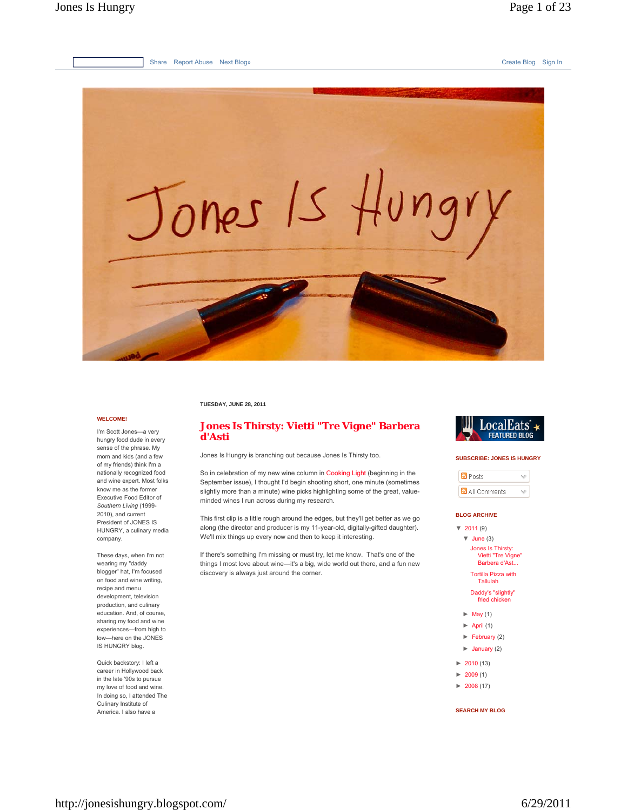

**TUESDAY, JUNE 28, 2011**

### **WELCOME!**

I'm Scott Jones—a very hungry food dude in every sense of the phrase. My mom and kids (and a few of my friends) think I'm a nationally recognized food and wine expert. Most folks know me as the former Executive Food Editor of *Southern Living* (1999- 2010), and current President of JONES IS HUNGRY, a culinary media company.

These days, when I'm not wearing my "daddy blogger" hat, I'm focused on food and wine writing, recipe and menu development, television production, and culinary education. And, of course, sharing my food and wine experiences—from high to low—here on the JONES IS HUNGRY blog.

Quick backstory: I left a career in Hollywood back in the late '90s to pursue my love of food and wine. In doing so, I attended The Culinary Institute of America. I also have a

# **Jones Is Thirsty: Vietti "Tre Vigne" Barbera d'Asti**

Jones Is Hungry is branching out because Jones Is Thirsty too.

So in celebration of my new wine column in Cooking Light (beginning in the September issue), I thought I'd begin shooting short, one minute (sometimes slightly more than a minute) wine picks highlighting some of the great, valueminded wines I run across during my research.

This first clip is a little rough around the edges, but they'll get better as we go along (the director and producer is my 11-year-old, digitally-gifted daughter). We'll mix things up every now and then to keep it interesting.

If there's something I'm missing or must try, let me know. That's one of the things I most love about wine—it's a big, wide world out there, and a fun new discovery is always just around the corner.



#### **SUBSCRIBE: JONES IS HUNGRY**

| <b>N</b> Posts |  |
|----------------|--|
| All Comments   |  |

### **BLOG ARCHIVE**

| $\sqrt{2011(9)}$                                         |
|----------------------------------------------------------|
| $\blacktriangledown$ June (3)                            |
| Jones Is Thirsty:<br>Vietti "Tre Vigne"<br>Barbera d'Ast |
| <b>Tortilla Pizza with</b><br>Tallulah                   |
| Daddy's "slightly"<br>fried chicken                      |
| $\blacktriangleright$ May (1)                            |
| $\blacktriangleright$ April (1)                          |
| $\blacktriangleright$ February (2)                       |
| $\blacktriangleright$ January (2)                        |
|                                                          |

- $\blacktriangleright$  2010 (13)
- $\blacktriangleright$  2009 (1)
- $\blacktriangleright$  2008 (17)

**SEARCH MY BLOG**